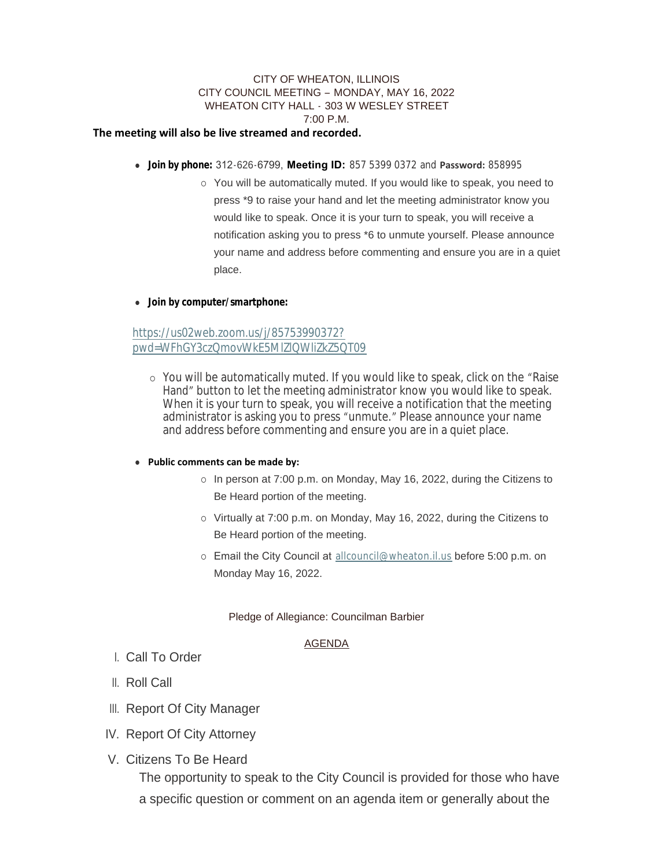## CITY OF WHEATON, ILLINOIS CITY COUNCIL MEETING – MONDAY, MAY 16, 2022 WHEATON CITY HALL - 303 W WESLEY STREET 7:00 P.M.

#### **The meeting will also be live streamed and recorded.**

- <sup>l</sup> **Join by phone:** 312-626-6799, **Meeting ID:** 857 5399 0372 and **Password:** 858995
	- o You will be automatically muted. If you would like to speak, you need to press \*9 to raise your hand and let the meeting administrator know you would like to speak. Once it is your turn to speak, you will receive a notification asking you to press \*6 to unmute yourself. Please announce your name and address before commenting and ensure you are in a quiet place.

### **.** Join by computer/smartphone:

https://us02web.zoom.us/j/85753990372? [pwd=WFhGY3czQmovWkE5MlZlQWliZkZ5QT09](https://us02web.zoom.us/j/85753990372?pwd=WFhGY3czQmovWkE5MlZlQWliZkZ5QT09)

¡ You will be automatically muted. If you would like to speak, click on the "Raise Hand" button to let the meeting administrator know you would like to speak. When it is your turn to speak, you will receive a notification that the meeting administrator is asking you to press "unmute." Please announce your name and address before commenting and ensure you are in a quiet place.

### **• Public comments can be made by:**

- o In person at 7:00 p.m. on Monday, May 16, 2022, during the Citizens to Be Heard portion of the meeting.
- o Virtually at 7:00 p.m. on Monday, May 16, 2022, during the Citizens to Be Heard portion of the meeting.
- o Email the City Council at [allcouncil@wheaton.il.us](mailto:allcouncil@wheaton.il.us) before 5:00 p.m. on Monday May 16, 2022.

### Pledge of Allegiance: Councilman Barbier

### AGENDA

- Call To Order I.
- ll. Roll Call
- III. Report Of City Manager
- IV. Report Of City Attorney
- V. Citizens To Be Heard

The opportunity to speak to the City Council is provided for those who have a specific question or comment on an agenda item or generally about the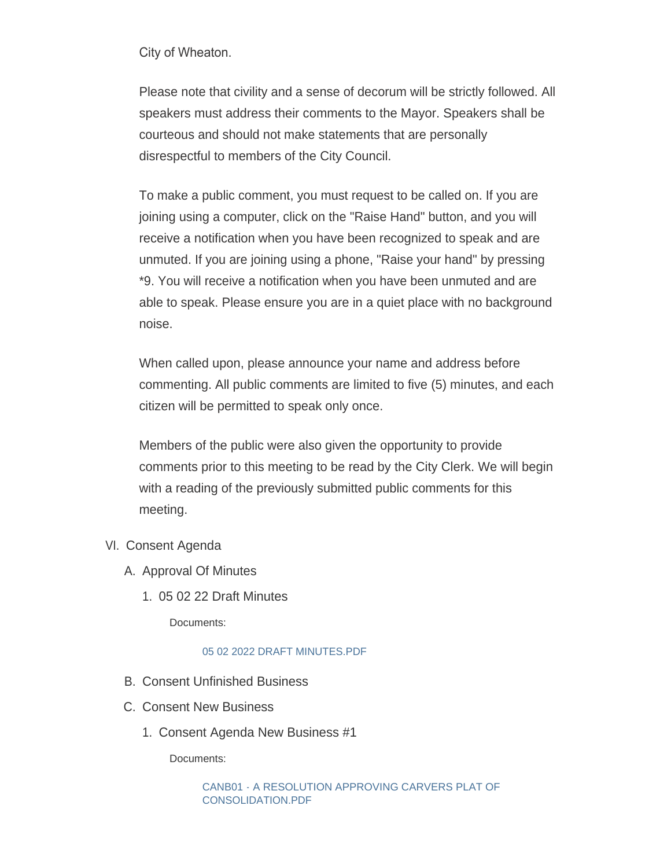City of Wheaton.

Please note that civility and a sense of decorum will be strictly followed. All speakers must address their comments to the Mayor. Speakers shall be courteous and should not make statements that are personally disrespectful to members of the City Council.

To make a public comment, you must request to be called on. If you are joining using a computer, click on the "Raise Hand" button, and you will receive a notification when you have been recognized to speak and are unmuted. If you are joining using a phone, "Raise your hand" by pressing \*9. You will receive a notification when you have been unmuted and are able to speak. Please ensure you are in a quiet place with no background noise.

When called upon, please announce your name and address before commenting. All public comments are limited to five (5) minutes, and each citizen will be permitted to speak only once.

Members of the public were also given the opportunity to provide comments prior to this meeting to be read by the City Clerk. We will begin with a reading of the previously submitted public comments for this meeting.

- VI. Consent Agenda
	- A. Approval Of Minutes
		- 05 02 22 Draft Minutes 1.

Documents:

# [05 02 2022 DRAFT MINUTES.PDF](https://www.wheaton.il.us/AgendaCenter/ViewFile/Item/9073?fileID=11688)

- B. Consent Unfinished Business
- C. Consent New Business
	- 1. Consent Agenda New Business #1

Documents:

[CANB01 - A RESOLUTION APPROVING CARVERS PLAT OF](https://www.wheaton.il.us/AgendaCenter/ViewFile/Item/9076?fileID=11689)  CONSOLIDATION.PDF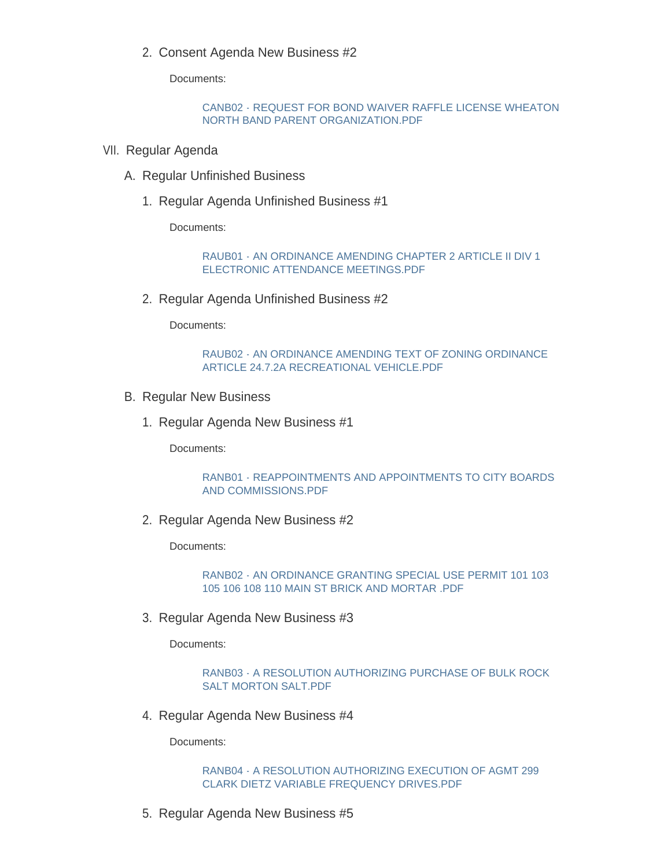2. Consent Agenda New Business #2

Documents:

# [CANB02 - REQUEST FOR BOND WAIVER RAFFLE LICENSE WHEATON](https://www.wheaton.il.us/AgendaCenter/ViewFile/Item/9077?fileID=11690)  NORTH BAND PARENT ORGANIZATION.PDF

- VII. Regular Agenda
	- A. Regular Unfinished Business
		- 1. Regular Agenda Unfinished Business #1

Documents:

[RAUB01 - AN ORDINANCE AMENDING CHAPTER 2 ARTICLE II DIV 1](https://www.wheaton.il.us/AgendaCenter/ViewFile/Item/9080?fileID=11691)  ELECTRONIC ATTENDANCE MEETINGS.PDF

2. Regular Agenda Unfinished Business #2

Documents:

[RAUB02 - AN ORDINANCE AMENDING TEXT OF ZONING ORDINANCE](https://www.wheaton.il.us/AgendaCenter/ViewFile/Item/9081?fileID=11692)  ARTICLE 24.7.2A RECREATIONAL VEHICLE.PDF

- **B. Regular New Business** 
	- 1. Regular Agenda New Business #1

Documents:

[RANB01 - REAPPOINTMENTS AND APPOINTMENTS TO CITY BOARDS](https://www.wheaton.il.us/AgendaCenter/ViewFile/Item/9083?fileID=11693)  AND COMMISSIONS.PDF

2. Regular Agenda New Business #2

Documents:

[RANB02 - AN ORDINANCE GRANTING SPECIAL USE PERMIT 101 103](https://www.wheaton.il.us/AgendaCenter/ViewFile/Item/9084?fileID=11694)  105 106 108 110 MAIN ST BRICK AND MORTAR .PDF

3. Regular Agenda New Business #3

Documents:

[RANB03 - A RESOLUTION AUTHORIZING PURCHASE OF BULK ROCK](https://www.wheaton.il.us/AgendaCenter/ViewFile/Item/9085?fileID=11695)  SALT MORTON SALT.PDF

4. Regular Agenda New Business #4

Documents:

[RANB04 - A RESOLUTION AUTHORIZING EXECUTION OF AGMT 299](https://www.wheaton.il.us/AgendaCenter/ViewFile/Item/9086?fileID=11696)  CLARK DIETZ VARIABLE FREQUENCY DRIVES.PDF

5. Regular Agenda New Business #5